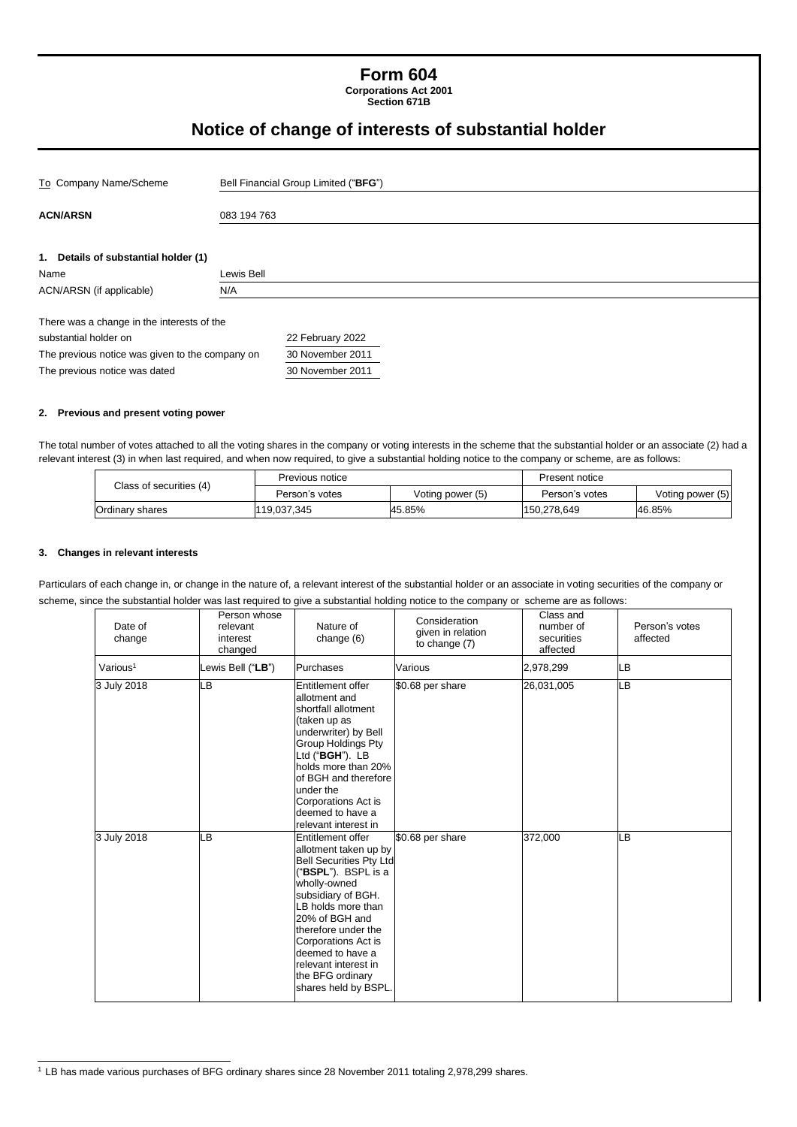# **Form 604**

**Corporations Act 2001 Section 671B**

# **Notice of change of interests of substantial holder**

| To Company Name/Scheme                          |             | Bell Financial Group Limited ("BFG") |  |  |  |
|-------------------------------------------------|-------------|--------------------------------------|--|--|--|
| <b>ACN/ARSN</b>                                 | 083 194 763 |                                      |  |  |  |
| 1. Details of substantial holder (1)<br>Name    | Lewis Bell  |                                      |  |  |  |
| ACN/ARSN (if applicable)                        | N/A         |                                      |  |  |  |
| There was a change in the interests of the      |             |                                      |  |  |  |
| substantial holder on                           |             | 22 February 2022                     |  |  |  |
| The previous notice was given to the company on |             | 30 November 2011                     |  |  |  |
| The previous notice was dated                   |             | 30 November 2011                     |  |  |  |

#### **2. Previous and present voting power**

The total number of votes attached to all the voting shares in the company or voting interests in the scheme that the substantial holder or an associate (2) had a relevant interest (3) in when last required, and when now required, to give a substantial holding notice to the company or scheme, are as follows:

| Class of securities (4) | Previous notice |                  | Present notice |                  |
|-------------------------|-----------------|------------------|----------------|------------------|
|                         | Person's votes  | Voting power (5) | Person's votes | Voting power (5) |
| Ordinary shares         | 119,037,345     | 45.85%           | 150,278,649    | 46.85%           |

#### **3. Changes in relevant interests**

Particulars of each change in, or change in the nature of, a relevant interest of the substantial holder or an associate in voting securities of the company or scheme, since the substantial holder was last required to give a substantial holding notice to the company or scheme are as follows:

| Date of<br>change    | Person whose<br>relevant<br>interest<br>changed | Nature of<br>change (6)                                                                                                                                                                                                                                                                                                 | Consideration<br>given in relation<br>to change (7) | Class and<br>number of<br>securities<br>affected | Person's votes<br>affected |
|----------------------|-------------------------------------------------|-------------------------------------------------------------------------------------------------------------------------------------------------------------------------------------------------------------------------------------------------------------------------------------------------------------------------|-----------------------------------------------------|--------------------------------------------------|----------------------------|
| Various <sup>1</sup> | Lewis Bell ("LB")                               | Purchases                                                                                                                                                                                                                                                                                                               | Various                                             | 2,978,299                                        | LB                         |
| 3 July 2018          | LВ                                              | Entitlement offer<br>allotment and<br>shortfall allotment<br>(taken up as<br>underwriter) by Bell<br><b>Group Holdings Pty</b><br>Ltd ("BGH"). LB<br>holds more than 20%<br>of BGH and therefore<br>under the<br>Corporations Act is<br>deemed to have a<br>relevant interest in                                        | \$0.68 per share                                    | 26,031,005                                       | <b>LB</b>                  |
| 3 July 2018          | LВ                                              | Entitlement offer<br>allotment taken up by<br><b>Bell Securities Pty Ltd</b><br>("BSPL"). BSPL is a<br>wholly-owned<br>subsidiary of BGH.<br>LB holds more than<br>20% of BGH and<br>therefore under the<br>Corporations Act is<br>deemed to have a<br>relevant interest in<br>the BFG ordinary<br>shares held by BSPL. | \$0.68 per share                                    | 372,000                                          | LB                         |

<sup>1</sup> LB has made various purchases of BFG ordinary shares since 28 November 2011 totaling 2,978,299 shares.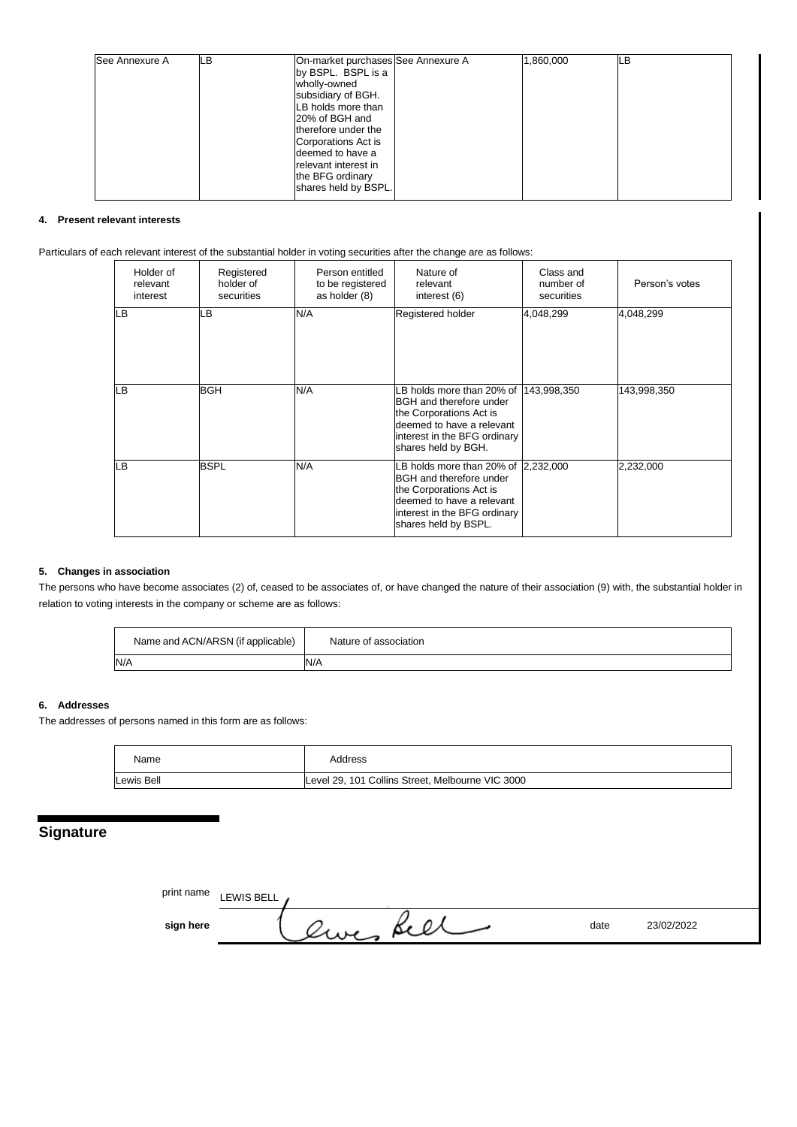| See Annexure A | LВ | On-market purchases See Annexure A | 1,860,000 | LВ |
|----------------|----|------------------------------------|-----------|----|
|                |    | by BSPL. BSPL is a                 |           |    |
|                |    | wholly-owned                       |           |    |
|                |    | subsidiary of BGH.                 |           |    |
|                |    | LB holds more than                 |           |    |
|                |    | 20% of BGH and                     |           |    |
|                |    | therefore under the                |           |    |
|                |    | Corporations Act is                |           |    |
|                |    | deemed to have a                   |           |    |
|                |    | relevant interest in               |           |    |
|                |    | the BFG ordinary                   |           |    |
|                |    | shares held by BSPL.               |           |    |
|                |    |                                    |           |    |

#### **4. Present relevant interests**

Particulars of each relevant interest of the substantial holder in voting securities after the change are as follows:

| Holder of<br>relevant<br>interest | Registered<br>holder of<br>securities | Person entitled<br>to be registered<br>as holder (8) | Nature of<br>relevant<br>interest (6)                                                                                                                                                | Class and<br>number of<br>securities | Person's votes |
|-----------------------------------|---------------------------------------|------------------------------------------------------|--------------------------------------------------------------------------------------------------------------------------------------------------------------------------------------|--------------------------------------|----------------|
| LВ                                | LВ                                    | N/A                                                  | Registered holder                                                                                                                                                                    | 4,048,299                            | 4,048,299      |
| LВ                                | <b>BGH</b>                            | N/A                                                  | -B holds more than 20% of<br>BGH and therefore under<br>the Corporations Act is<br>deemed to have a relevant<br>interest in the BFG ordinary<br>shares held by BGH.                  | 143,998,350                          | 143,998,350    |
| LВ                                | <b>BSPL</b>                           | N/A                                                  | B holds more than 20% of 2,232,000<br><b>BGH</b> and therefore under<br>the Corporations Act is<br>deemed to have a relevant<br>interest in the BFG ordinary<br>shares held by BSPL. |                                      | 2,232,000      |

#### **5. Changes in association**

The persons who have become associates (2) of, ceased to be associates of, or have changed the nature of their association (9) with, the substantial holder in relation to voting interests in the company or scheme are as follows:

| Name and ACN/ARSN (if applicable) | Nature of<br>`association |
|-----------------------------------|---------------------------|
| N/A                               | N/A                       |

#### **6. Addresses**

The addresses of persons named in this form are as follows:

| Name       | Address                                          |
|------------|--------------------------------------------------|
| Lewis Bell | Level 29, 101 Collins Street, Melbourne VIC 3000 |

# **Signature**

| print name | LEWIS BELL , |        |      |            |
|------------|--------------|--------|------|------------|
| sign here  |              | we see | date | 23/02/2022 |